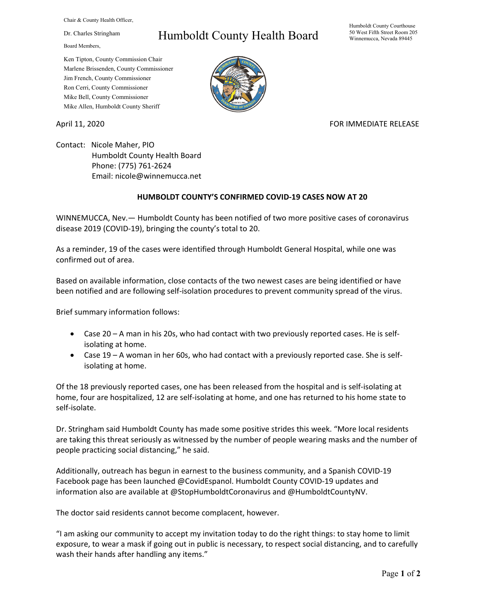Chair & County Health Officer,

Dr. Charles Stringham

Board Members,

## Humboldt County Health Board

Humboldt County Courthouse 50 West Fifth Street Room 205 Winnemucca, Nevada 89445

Ken Tipton, County Commission Chair Marlene Brissenden, County Commissioner Jim French, County Commissioner Ron Cerri, County Commissioner Mike Bell, County Commissioner Mike Allen, Humboldt County Sheriff

April 11, 2020 **FOR IMMEDIATE RELEASE** 

Contact: Nicole Maher, PIO Humboldt County Health Board Phone: (775) 761-2624 Email: nicole@winnemucca.net

## **HUMBOLDT COUNTY'S CONFIRMED COVID-19 CASES NOW AT 20**

WINNEMUCCA, Nev.— Humboldt County has been notified of two more positive cases of coronavirus disease 2019 (COVID-19), bringing the county's total to 20.

As a reminder, 19 of the cases were identified through Humboldt General Hospital, while one was confirmed out of area.

Based on available information, close contacts of the two newest cases are being identified or have been notified and are following self-isolation procedures to prevent community spread of the virus.

Brief summary information follows:

- Case 20 A man in his 20s, who had contact with two previously reported cases. He is selfisolating at home.
- Case 19 A woman in her 60s, who had contact with a previously reported case. She is selfisolating at home.

Of the 18 previously reported cases, one has been released from the hospital and is self-isolating at home, four are hospitalized, 12 are self-isolating at home, and one has returned to his home state to self-isolate.

Dr. Stringham said Humboldt County has made some positive strides this week. "More local residents are taking this threat seriously as witnessed by the number of people wearing masks and the number of people practicing social distancing," he said.

Additionally, outreach has begun in earnest to the business community, and a Spanish COVID-19 Facebook page has been launched @CovidEspanol. Humboldt County COVID-19 updates and information also are available at @StopHumboldtCoronavirus and @HumboldtCountyNV.

The doctor said residents cannot become complacent, however.

"I am asking our community to accept my invitation today to do the right things: to stay home to limit exposure, to wear a mask if going out in public is necessary, to respect social distancing, and to carefully wash their hands after handling any items."